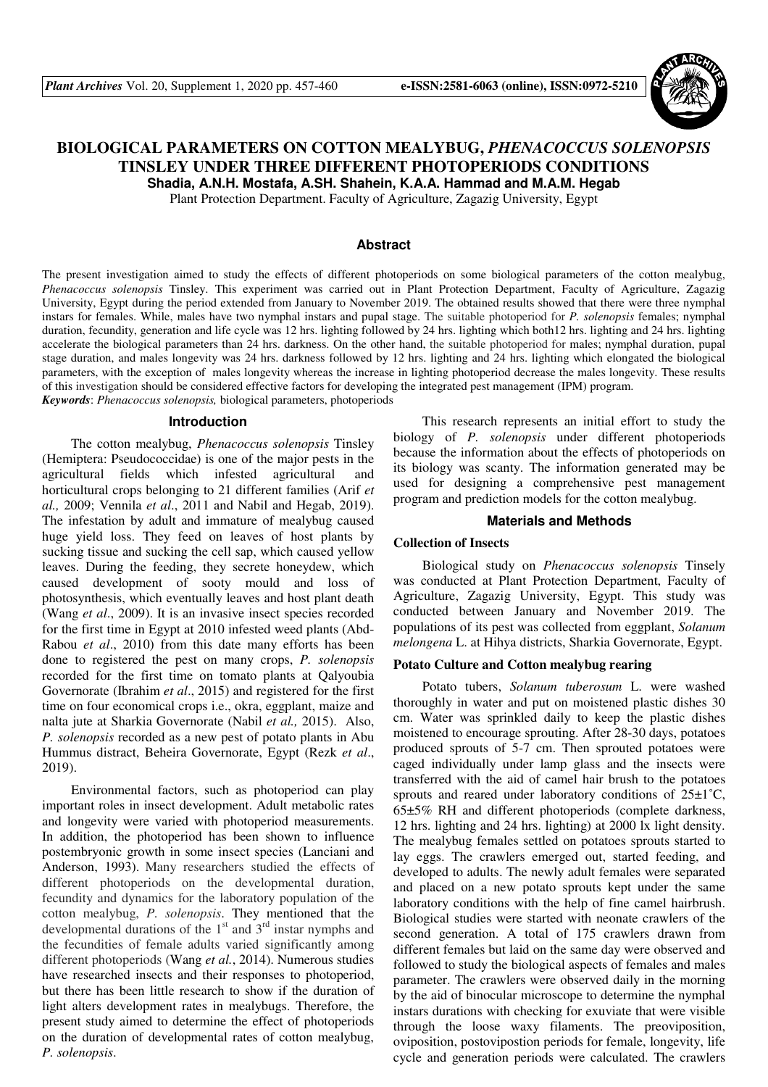

# **BIOLOGICAL PARAMETERS ON COTTON MEALYBUG,** *PHENACOCCUS SOLENOPSIS*  **TINSLEY UNDER THREE DIFFERENT PHOTOPERIODS CONDITIONS**

**Shadia, A.N.H. Mostafa, A.SH. Shahein, K.A.A. Hammad and M.A.M. Hegab** 

Plant Protection Department. Faculty of Agriculture, Zagazig University, Egypt

#### **Abstract**

The present investigation aimed to study the effects of different photoperiods on some biological parameters of the cotton mealybug, *Phenacoccus solenopsis* Tinsley. This experiment was carried out in Plant Protection Department, Faculty of Agriculture, Zagazig University, Egypt during the period extended from January to November 2019. The obtained results showed that there were three nymphal instars for females. While, males have two nymphal instars and pupal stage. The suitable photoperiod for *P. solenopsis* females; nymphal duration, fecundity, generation and life cycle was 12 hrs. lighting followed by 24 hrs. lighting which both12 hrs. lighting and 24 hrs. lighting accelerate the biological parameters than 24 hrs. darkness. On the other hand, the suitable photoperiod for males; nymphal duration, pupal stage duration, and males longevity was 24 hrs. darkness followed by 12 hrs. lighting and 24 hrs. lighting which elongated the biological parameters, with the exception of males longevity whereas the increase in lighting photoperiod decrease the males longevity. These results of this investigation should be considered effective factors for developing the integrated pest management (IPM) program. *Keywords*: *Phenacoccus solenopsis,* biological parameters, photoperiods

#### **Introduction**

The cotton mealybug, *Phenacoccus solenopsis* Tinsley (Hemiptera: Pseudococcidae) is one of the major pests in the agricultural fields which infested agricultural and horticultural crops belonging to 21 different families (Arif *et al.,* 2009; Vennila *et al*., 2011 and Nabil and Hegab, 2019). The infestation by adult and immature of mealybug caused huge yield loss. They feed on leaves of host plants by sucking tissue and sucking the cell sap, which caused yellow leaves. During the feeding, they secrete honeydew, which caused development of sooty mould and loss of photosynthesis, which eventually leaves and host plant death (Wang *et al*., 2009). It is an invasive insect species recorded for the first time in Egypt at 2010 infested weed plants (Abd-Rabou *et al*., 2010) from this date many efforts has been done to registered the pest on many crops, *P. solenopsis*  recorded for the first time on tomato plants at Qalyoubia Governorate (Ibrahim *et al*., 2015) and registered for the first time on four economical crops i.e., okra, eggplant, maize and nalta jute at Sharkia Governorate (Nabil *et al.,* 2015). Also, *P. solenopsis* recorded as a new pest of potato plants in Abu Hummus distract, Beheira Governorate, Egypt (Rezk *et al*., 2019).

Environmental factors, such as photoperiod can play important roles in insect development. Adult metabolic rates and longevity were varied with photoperiod measurements. In addition, the photoperiod has been shown to influence postembryonic growth in some insect species (Lanciani and Anderson, 1993). Many researchers studied the effects of different photoperiods on the developmental duration, fecundity and dynamics for the laboratory population of the cotton mealybug, *P. solenopsis*. They mentioned that the developmental durations of the  $1<sup>st</sup>$  and  $3<sup>rd</sup>$  instar nymphs and the fecundities of female adults varied significantly among different photoperiods (Wang *et al.*, 2014). Numerous studies have researched insects and their responses to photoperiod, but there has been little research to show if the duration of light alters development rates in mealybugs. Therefore, the present study aimed to determine the effect of photoperiods on the duration of developmental rates of cotton mealybug, *P. solenopsis*.

This research represents an initial effort to study the biology of *P. solenopsis* under different photoperiods because the information about the effects of photoperiods on its biology was scanty. The information generated may be used for designing a comprehensive pest management program and prediction models for the cotton mealybug.

#### **Materials and Methods**

## **Collection of Insects**

Biological study on *Phenacoccus solenopsis* Tinsely was conducted at Plant Protection Department, Faculty of Agriculture, Zagazig University, Egypt. This study was conducted between January and November 2019. The populations of its pest was collected from eggplant, *Solanum melongena* L. at Hihya districts, Sharkia Governorate, Egypt.

#### **Potato Culture and Cotton mealybug rearing**

Potato tubers, *Solanum tuberosum* L. were washed thoroughly in water and put on moistened plastic dishes 30 cm. Water was sprinkled daily to keep the plastic dishes moistened to encourage sprouting. After 28-30 days, potatoes produced sprouts of 5-7 cm. Then sprouted potatoes were caged individually under lamp glass and the insects were transferred with the aid of camel hair brush to the potatoes sprouts and reared under laboratory conditions of  $25\pm1^{\circ}C$ , 65±5% RH and different photoperiods (complete darkness, 12 hrs. lighting and 24 hrs. lighting) at 2000 lx light density. The mealybug females settled on potatoes sprouts started to lay eggs. The crawlers emerged out, started feeding, and developed to adults. The newly adult females were separated and placed on a new potato sprouts kept under the same laboratory conditions with the help of fine camel hairbrush. Biological studies were started with neonate crawlers of the second generation. A total of 175 crawlers drawn from different females but laid on the same day were observed and followed to study the biological aspects of females and males parameter. The crawlers were observed daily in the morning by the aid of binocular microscope to determine the nymphal instars durations with checking for exuviate that were visible through the loose waxy filaments. The preoviposition, oviposition, postovipostion periods for female, longevity, life cycle and generation periods were calculated. The crawlers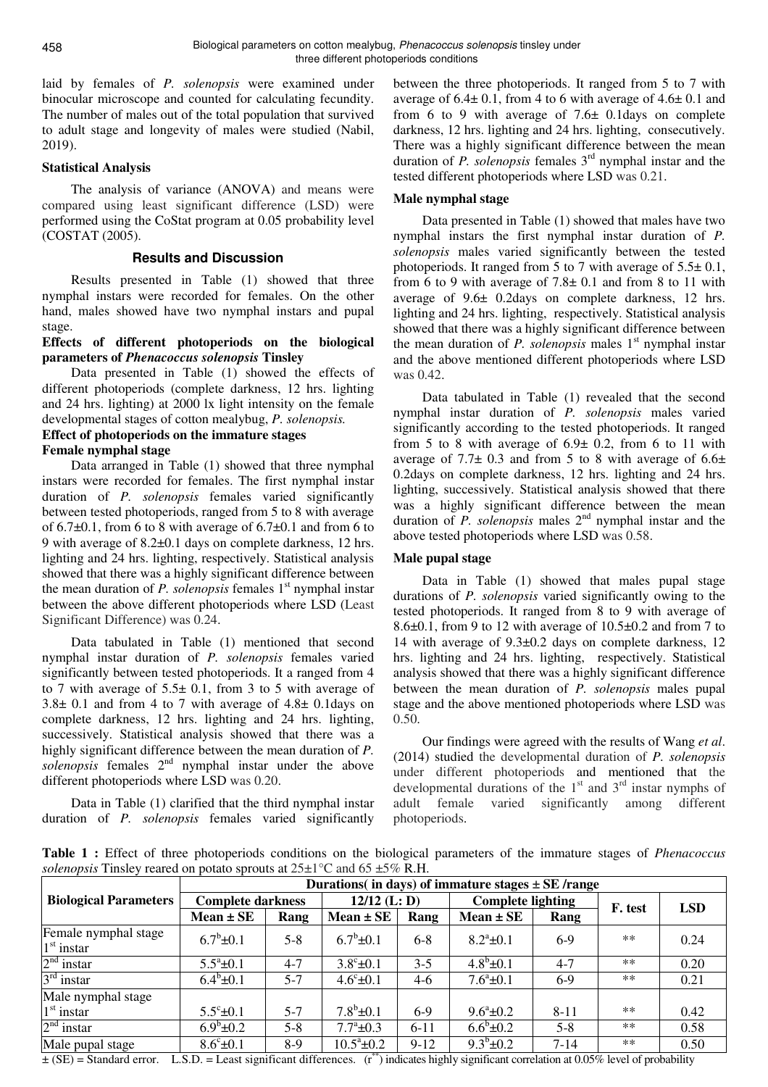laid by females of *P. solenopsis* were examined under binocular microscope and counted for calculating fecundity. The number of males out of the total population that survived to adult stage and longevity of males were studied (Nabil, 2019).

## **Statistical Analysis**

The analysis of variance (ANOVA) and means were compared using least significant difference (LSD) were performed using the CoStat program at 0.05 probability level (COSTAT (2005).

## **Results and Discussion**

Results presented in Table (1) showed that three nymphal instars were recorded for females. On the other hand, males showed have two nymphal instars and pupal stage.

## **Effects of different photoperiods on the biological parameters of** *Phenacoccus solenopsis* **Tinsley**

Data presented in Table (1) showed the effects of different photoperiods (complete darkness, 12 hrs. lighting and 24 hrs. lighting) at 2000 lx light intensity on the female developmental stages of cotton mealybug, *P. solenopsis.* 

## **Effect of photoperiods on the immature stages Female nymphal stage**

Data arranged in Table (1) showed that three nymphal instars were recorded for females. The first nymphal instar duration of *P. solenopsis* females varied significantly between tested photoperiods, ranged from 5 to 8 with average of  $6.7\pm0.1$ , from 6 to 8 with average of  $6.7\pm0.1$  and from 6 to 9 with average of 8.2±0.1 days on complete darkness, 12 hrs. lighting and 24 hrs. lighting, respectively. Statistical analysis showed that there was a highly significant difference between the mean duration of *P. solenopsis* females 1<sup>st</sup> nymphal instar between the above different photoperiods where LSD (Least Significant Difference) was 0.24.

Data tabulated in Table (1) mentioned that second nymphal instar duration of *P. solenopsis* females varied significantly between tested photoperiods. It a ranged from 4 to 7 with average of  $5.5 \pm 0.1$ , from 3 to 5 with average of 3.8± 0.1 and from 4 to 7 with average of 4.8± 0.1days on complete darkness, 12 hrs. lighting and 24 hrs. lighting, successively. Statistical analysis showed that there was a highly significant difference between the mean duration of *P.*  solenopsis females 2<sup>nd</sup> nymphal instar under the above different photoperiods where LSD was 0.20.

Data in Table (1) clarified that the third nymphal instar duration of *P. solenopsis* females varied significantly between the three photoperiods. It ranged from 5 to 7 with average of  $6.4 \pm 0.1$ , from 4 to 6 with average of  $4.6 \pm 0.1$  and from 6 to 9 with average of  $7.6 \pm 0.1$ days on complete darkness, 12 hrs. lighting and 24 hrs. lighting, consecutively. There was a highly significant difference between the mean duration of *P. solenopsis* females 3<sup>rd</sup> nymphal instar and the tested different photoperiods where LSD was 0.21.

# **Male nymphal stage**

Data presented in Table (1) showed that males have two nymphal instars the first nymphal instar duration of *P. solenopsis* males varied significantly between the tested photoperiods. It ranged from 5 to 7 with average of 5.5± 0.1, from 6 to 9 with average of  $7.8\pm 0.1$  and from 8 to 11 with average of 9.6± 0.2days on complete darkness, 12 hrs. lighting and 24 hrs. lighting, respectively. Statistical analysis showed that there was a highly significant difference between the mean duration of *P. solenopsis* males 1<sup>st</sup> nymphal instar and the above mentioned different photoperiods where LSD was 0.42.

Data tabulated in Table (1) revealed that the second nymphal instar duration of *P. solenopsis* males varied significantly according to the tested photoperiods. It ranged from 5 to 8 with average of  $6.9 \pm 0.2$ , from 6 to 11 with average of  $7.7\pm 0.3$  and from 5 to 8 with average of  $6.6\pm$ 0.2days on complete darkness, 12 hrs. lighting and 24 hrs. lighting, successively. Statistical analysis showed that there was a highly significant difference between the mean duration of  $P$ . *solenopsis* males  $2<sup>nd</sup>$  nymphal instar and the above tested photoperiods where LSD was 0.58.

# **Male pupal stage**

Data in Table (1) showed that males pupal stage durations of *P. solenopsis* varied significantly owing to the tested photoperiods. It ranged from 8 to 9 with average of 8.6±0.1, from 9 to 12 with average of 10.5±0.2 and from 7 to 14 with average of 9.3±0.2 days on complete darkness, 12 hrs. lighting and 24 hrs. lighting, respectively. Statistical analysis showed that there was a highly significant difference between the mean duration of *P. solenopsis* males pupal stage and the above mentioned photoperiods where LSD was 0.50.

Our findings were agreed with the results of Wang *et al*. (2014) studied the developmental duration of *P. solenopsis* under different photoperiods and mentioned that the developmental durations of the  $1<sup>st</sup>$  and  $3<sup>rd</sup>$  instar nymphs of adult female varied significantly among different photoperiods.

**Table 1 :** Effect of three photoperiods conditions on the biological parameters of the immature stages of *Phenacoccus solenopsis* Tinsley reared on potato sprouts at 25±1°C and 65 ±5% R.H.

|                                      | Durations (in days) of immature stages $\pm$ SE /range |         |                     |         |                          |          |         |            |  |
|--------------------------------------|--------------------------------------------------------|---------|---------------------|---------|--------------------------|----------|---------|------------|--|
| <b>Biological Parameters</b>         | <b>Complete darkness</b>                               |         | $12/12$ (L: D)      |         | <b>Complete lighting</b> |          | F. test | <b>LSD</b> |  |
|                                      | $Mean \pm SE$                                          | Rang    | $Mean \pm SE$       | Rang    | $Mean \pm SE$            | Rang     |         |            |  |
| Female nymphal stage<br>$1st$ instar | $6.7^b \pm 0.1$                                        | $5 - 8$ | $6.7^b \pm 0.1$     | $6 - 8$ | $8.2^{\circ}$ ±0.1       | $6-9$    | $**$    | 0.24       |  |
| $2nd$ instar                         | $5.5^a \pm 0.1$                                        | $4 - 7$ | $3.8^{\circ}$ ±0.1  | $3 - 5$ | $4.8^b \pm 0.1$          | $4 - 7$  | $**$    | 0.20       |  |
| $3rd$ instar                         | $6.4^b \pm 0.1$                                        | $5 - 7$ | $4.6^{\circ}$ ±0.1  | $4-6$   | $7.6^a \pm 0.1$          | $6-9$    | $**$    | 0.21       |  |
| Male nymphal stage                   |                                                        |         |                     |         |                          |          |         |            |  |
| $1st$ instar                         | $5.5^{\circ}$ ±0.1                                     | $5 - 7$ | $7.8^b \pm 0.1$     | $6-9$   | $9.6^{\circ}$ ±0.2       | $8 - 11$ | $**$    | 0.42       |  |
| $2nd$ instar                         | $6.9^b \pm 0.2$                                        | $5 - 8$ | $7.7^{\circ}$ ±0.3  | $6-11$  | $6.6^b \pm 0.2$          | $5 - 8$  | $**$    | 0.58       |  |
| Male pupal stage                     | $8.6^{\circ}$ ±0.1                                     | $8-9$   | $10.5^{\circ}$ ±0.2 | $9-12$  | $9.3^b \pm 0.2$          | $7 - 14$ | **      | 0.50       |  |

 $\pm$  (SE) = Standard error. L.S.D. = Least significant differences.  $(r^{**})$  indicates highly significant correlation at 0.05% level of probability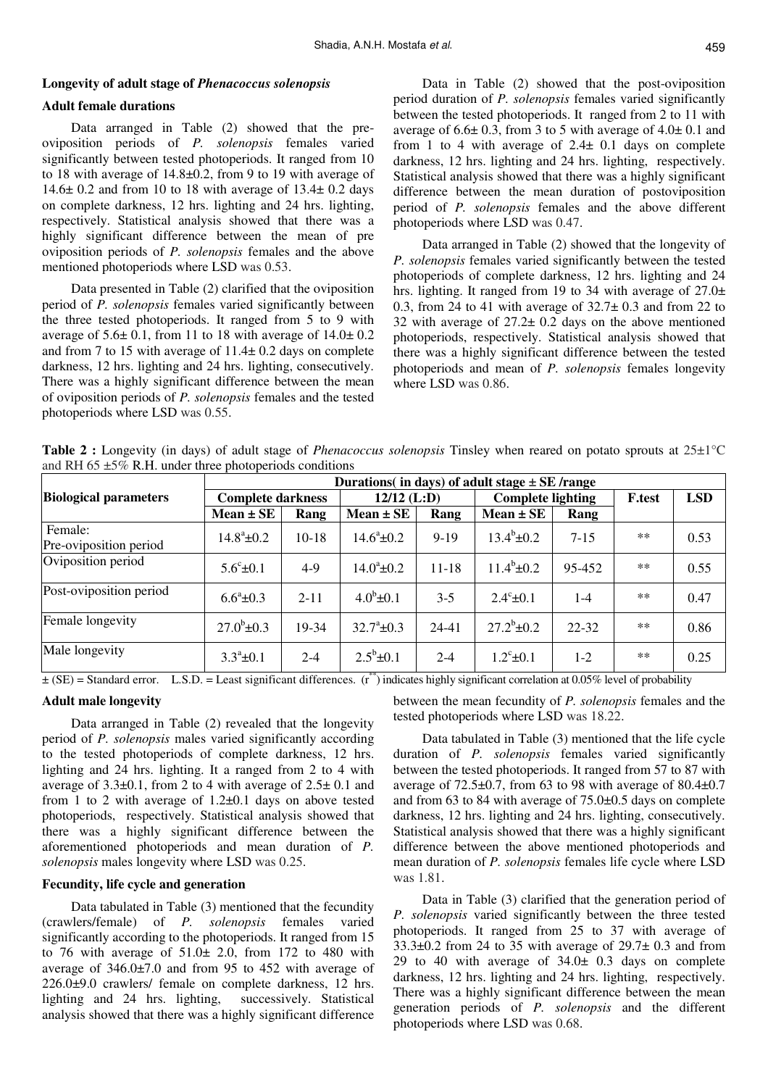## **Longevity of adult stage of** *Phenacoccus solenopsis*

#### **Adult female durations**

Data arranged in Table (2) showed that the preoviposition periods of *P. solenopsis* females varied significantly between tested photoperiods. It ranged from 10 to 18 with average of 14.8±0.2, from 9 to 19 with average of 14.6± 0.2 and from 10 to 18 with average of 13.4± 0.2 days on complete darkness, 12 hrs. lighting and 24 hrs. lighting, respectively. Statistical analysis showed that there was a highly significant difference between the mean of pre oviposition periods of *P. solenopsis* females and the above mentioned photoperiods where LSD was 0.53.

Data presented in Table (2) clarified that the oviposition period of *P. solenopsis* females varied significantly between the three tested photoperiods. It ranged from 5 to 9 with average of  $5.6 \pm 0.1$ , from 11 to 18 with average of  $14.0 \pm 0.2$ and from 7 to 15 with average of 11.4± 0.2 days on complete darkness, 12 hrs. lighting and 24 hrs. lighting, consecutively. There was a highly significant difference between the mean of oviposition periods of *P. solenopsis* females and the tested photoperiods where LSD was 0.55.

Data in Table (2) showed that the post-oviposition period duration of *P. solenopsis* females varied significantly between the tested photoperiods. It ranged from 2 to 11 with average of  $6.6 \pm 0.3$ , from 3 to 5 with average of  $4.0 \pm 0.1$  and from 1 to 4 with average of  $2.4 \pm 0.1$  days on complete darkness, 12 hrs. lighting and 24 hrs. lighting, respectively. Statistical analysis showed that there was a highly significant difference between the mean duration of postoviposition period of *P. solenopsis* females and the above different photoperiods where LSD was 0.47.

Data arranged in Table (2) showed that the longevity of *P. solenopsis* females varied significantly between the tested photoperiods of complete darkness, 12 hrs. lighting and 24 hrs. lighting. It ranged from 19 to 34 with average of  $27.0\pm$ 0.3, from 24 to 41 with average of  $32.7 \pm 0.3$  and from 22 to 32 with average of 27.2± 0.2 days on the above mentioned photoperiods, respectively. Statistical analysis showed that there was a highly significant difference between the tested photoperiods and mean of *P. solenopsis* females longevity where LSD was 0.86.

**Table 2 :** Longevity (in days) of adult stage of *Phenacoccus solenopsis* Tinsley when reared on potato sprouts at 25±1°C and RH 65  $\pm$ 5% R.H. under three photoperiods conditions

|                                   | Durations (in days) of adult stage $\pm$ SE /range |          |                     |           |                          |           |               |            |  |
|-----------------------------------|----------------------------------------------------|----------|---------------------|-----------|--------------------------|-----------|---------------|------------|--|
| <b>Biological parameters</b>      | <b>Complete darkness</b>                           |          | $12/12$ (L:D)       |           | <b>Complete lighting</b> |           | <b>F.test</b> | <b>LSD</b> |  |
|                                   | $Mean \pm SE$                                      | Rang     | $Mean \pm SE$       | Rang      | $Mean \pm SE$            | Rang      |               |            |  |
| Female:<br>Pre-oviposition period | $14.8^{\circ}$ ±0.2                                | $10-18$  | $14.6^{\circ}$ ±0.2 | $9 - 19$  | $13.4^b \pm 0.2$         | $7 - 15$  | $\ast\ast$    | 0.53       |  |
| Oviposition period                | $5.6^{\circ}$ ±0.1                                 | $4-9$    | $14.0^{\circ}$ ±0.2 | $11 - 18$ | $11.4^b \pm 0.2$         | 95-452    | $***$         | 0.55       |  |
| Post-oviposition period           | $6.6^a \pm 0.3$                                    | $2 - 11$ | $4.0^b \pm 0.1$     | $3 - 5$   | $2.4^{\circ}$ ±0.1       | $1-4$     | $**$          | 0.47       |  |
| Female longevity                  | $27.0^b \pm 0.3$                                   | 19-34    | $32.7^{\circ}$ ±0.3 | $24 - 41$ | $27.2^b \pm 0.2$         | $22 - 32$ | $***$         | 0.86       |  |
| Male longevity                    | $3.3^{\circ}$ ±0.1                                 | $2 - 4$  | $2.5^b \pm 0.1$     | $2 - 4$   | $1.2^{\circ}$ ±0.1       | $1-2$     | $**$          | 0.25       |  |

 $\pm$  (SE) = Standard error. L.S.D. = Least significant differences. ( $r^*$ ) indicates highly significant correlation at 0.05% level of probability

#### **Adult male longevity**

Data arranged in Table (2) revealed that the longevity period of *P. solenopsis* males varied significantly according to the tested photoperiods of complete darkness, 12 hrs. lighting and 24 hrs. lighting. It a ranged from 2 to 4 with average of  $3.3\pm0.1$ , from 2 to 4 with average of  $2.5\pm0.1$  and from 1 to 2 with average of 1.2±0.1 days on above tested photoperiods, respectively. Statistical analysis showed that there was a highly significant difference between the aforementioned photoperiods and mean duration of *P. solenopsis* males longevity where LSD was 0.25.

#### **Fecundity, life cycle and generation**

Data tabulated in Table (3) mentioned that the fecundity (crawlers/female) of *P. solenopsis* females varied significantly according to the photoperiods. It ranged from 15 to 76 with average of  $51.0 \pm 2.0$ , from 172 to 480 with average of 346.0±7.0 and from 95 to 452 with average of 226.0±9.0 crawlers/ female on complete darkness, 12 hrs. lighting and 24 hrs. lighting, successively. Statistical analysis showed that there was a highly significant difference between the mean fecundity of *P. solenopsis* females and the tested photoperiods where LSD was 18.22.

Data tabulated in Table (3) mentioned that the life cycle duration of *P. solenopsis* females varied significantly between the tested photoperiods. It ranged from 57 to 87 with average of  $72.5\pm0.7$ , from 63 to 98 with average of  $80.4\pm0.7$ and from 63 to 84 with average of 75.0±0.5 days on complete darkness, 12 hrs. lighting and 24 hrs. lighting, consecutively. Statistical analysis showed that there was a highly significant difference between the above mentioned photoperiods and mean duration of *P. solenopsis* females life cycle where LSD was 1.81.

Data in Table (3) clarified that the generation period of *P. solenopsis* varied significantly between the three tested photoperiods. It ranged from 25 to 37 with average of  $33.3\pm0.2$  from 24 to 35 with average of  $29.7\pm0.3$  and from 29 to 40 with average of  $34.0 \pm 0.3$  days on complete darkness, 12 hrs. lighting and 24 hrs. lighting, respectively. There was a highly significant difference between the mean generation periods of *P. solenopsis* and the different photoperiods where LSD was 0.68.